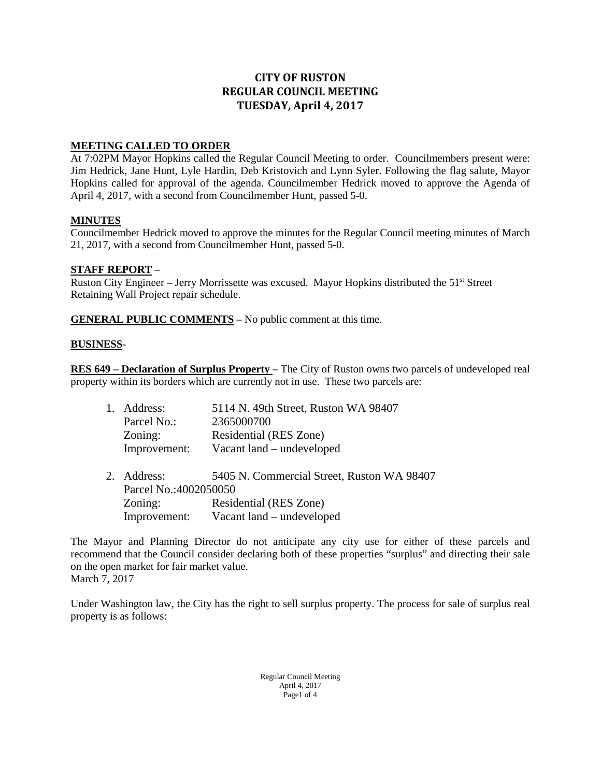# **CITY OF RUSTON REGULAR COUNCIL MEETING TUESDAY, April 4, 2017**

## **MEETING CALLED TO ORDER**

At 7:02PM Mayor Hopkins called the Regular Council Meeting to order. Councilmembers present were: Jim Hedrick, Jane Hunt, Lyle Hardin, Deb Kristovich and Lynn Syler. Following the flag salute, Mayor Hopkins called for approval of the agenda. Councilmember Hedrick moved to approve the Agenda of April 4, 2017, with a second from Councilmember Hunt, passed 5-0.

### **MINUTES**

Councilmember Hedrick moved to approve the minutes for the Regular Council meeting minutes of March 21, 2017, with a second from Councilmember Hunt, passed 5-0.

### **STAFF REPORT** –

Ruston City Engineer – Jerry Morrissette was excused. Mayor Hopkins distributed the 51<sup>st</sup> Street Retaining Wall Project repair schedule.

**GENERAL PUBLIC COMMENTS** – No public comment at this time.

### **BUSINESS**-

**RES 649 – Declaration of Surplus Property –** The City of Ruston owns two parcels of undeveloped real property within its borders which are currently not in use. These two parcels are:

| 1.      | Address:              | 5114 N. 49th Street, Ruston WA 98407       |
|---------|-----------------------|--------------------------------------------|
|         | Parcel No.:           | 2365000700                                 |
|         | Zoning:               | Residential (RES Zone)                     |
|         | Improvement:          | Vacant land – undeveloped                  |
| $2^{1}$ | Address:              | 5405 N. Commercial Street, Ruston WA 98407 |
|         | Parcel No.:4002050050 |                                            |
|         | Zoning:               | Residential (RES Zone)                     |
|         | Improvement:          | Vacant land – undeveloped                  |

The Mayor and Planning Director do not anticipate any city use for either of these parcels and recommend that the Council consider declaring both of these properties "surplus" and directing their sale on the open market for fair market value. March 7, 2017

Under Washington law, the City has the right to sell surplus property. The process for sale of surplus real property is as follows:

> Regular Council Meeting April 4, 2017 Page1 of 4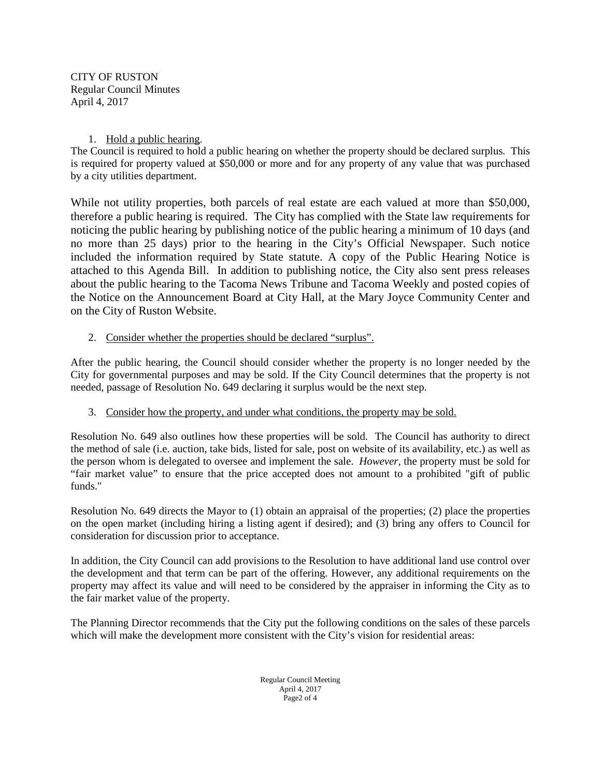CITY OF RUSTON Regular Council Minutes April 4, 2017

### 1. Hold a public hearing.

The Council is required to hold a public hearing on whether the property should be declared surplus. This is required for property valued at \$50,000 or more and for any property of any value that was purchased by a city utilities department.

While not utility properties, both parcels of real estate are each valued at more than \$50,000, therefore a public hearing is required. The City has complied with the State law requirements for noticing the public hearing by publishing notice of the public hearing a minimum of 10 days (and no more than 25 days) prior to the hearing in the City's Official Newspaper. Such notice included the information required by State statute. A copy of the Public Hearing Notice is attached to this Agenda Bill. In addition to publishing notice, the City also sent press releases about the public hearing to the Tacoma News Tribune and Tacoma Weekly and posted copies of the Notice on the Announcement Board at City Hall, at the Mary Joyce Community Center and on the City of Ruston Website.

### 2. Consider whether the properties should be declared "surplus".

After the public hearing, the Council should consider whether the property is no longer needed by the City for governmental purposes and may be sold. If the City Council determines that the property is not needed, passage of Resolution No. 649 declaring it surplus would be the next step.

### 3. Consider how the property, and under what conditions, the property may be sold.

Resolution No. 649 also outlines how these properties will be sold. The Council has authority to direct the method of sale (i.e. auction, take bids, listed for sale, post on website of its availability, etc.) as well as the person whom is delegated to oversee and implement the sale. *However,* the property must be sold for "fair market value" to ensure that the price accepted does not amount to a prohibited "gift of public funds."

Resolution No. 649 directs the Mayor to (1) obtain an appraisal of the properties; (2) place the properties on the open market (including hiring a listing agent if desired); and (3) bring any offers to Council for consideration for discussion prior to acceptance.

In addition, the City Council can add provisions to the Resolution to have additional land use control over the development and that term can be part of the offering. However, any additional requirements on the property may affect its value and will need to be considered by the appraiser in informing the City as to the fair market value of the property.

The Planning Director recommends that the City put the following conditions on the sales of these parcels which will make the development more consistent with the City's vision for residential areas:

> Regular Council Meeting April 4, 2017 Page2 of 4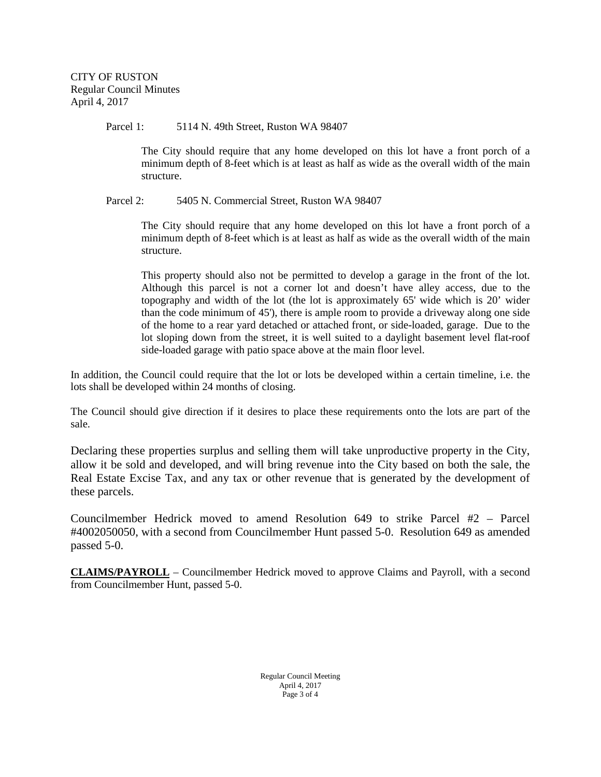Parcel 1: 5114 N. 49th Street, Ruston WA 98407

The City should require that any home developed on this lot have a front porch of a minimum depth of 8-feet which is at least as half as wide as the overall width of the main structure.

Parcel 2: 5405 N. Commercial Street, Ruston WA 98407

The City should require that any home developed on this lot have a front porch of a minimum depth of 8-feet which is at least as half as wide as the overall width of the main structure.

This property should also not be permitted to develop a garage in the front of the lot. Although this parcel is not a corner lot and doesn't have alley access, due to the topography and width of the lot (the lot is approximately 65' wide which is 20' wider than the code minimum of 45'), there is ample room to provide a driveway along one side of the home to a rear yard detached or attached front, or side-loaded, garage. Due to the lot sloping down from the street, it is well suited to a daylight basement level flat-roof side-loaded garage with patio space above at the main floor level.

In addition, the Council could require that the lot or lots be developed within a certain timeline, i.e. the lots shall be developed within 24 months of closing.

The Council should give direction if it desires to place these requirements onto the lots are part of the sale.

Declaring these properties surplus and selling them will take unproductive property in the City, allow it be sold and developed, and will bring revenue into the City based on both the sale, the Real Estate Excise Tax, and any tax or other revenue that is generated by the development of these parcels.

Councilmember Hedrick moved to amend Resolution 649 to strike Parcel #2 – Parcel #4002050050, with a second from Councilmember Hunt passed 5-0. Resolution 649 as amended passed 5-0.

**CLAIMS/PAYROLL** – Councilmember Hedrick moved to approve Claims and Payroll, with a second from Councilmember Hunt, passed 5-0.

> Regular Council Meeting April 4, 2017 Page 3 of 4